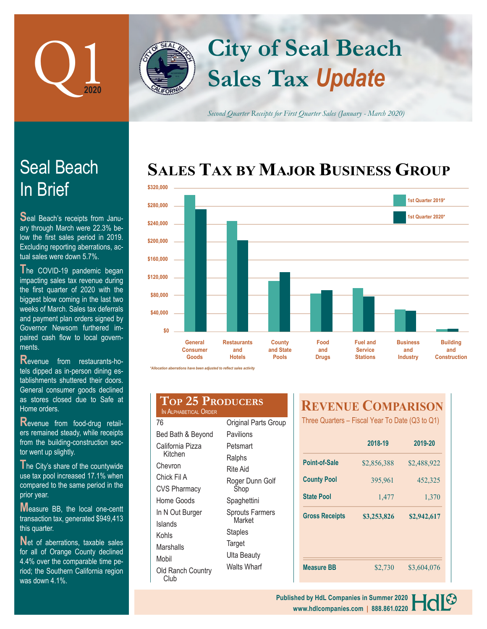

# **Sales Tax** *Update* **City of Seal Beach**

*Second Quarter Receipts for First Quarter Sales (January - March 2020)*

# **SALES TAX BY MAJOR BUSINESS GROUP**



**R**evenue from food-drug retailers remained steady, while receipts from the building-construction sector went up slightly.

The City's share of the countywide use tax pool increased 17.1% when compared to the same period in the prior year.

**M**easure BB, the local one-centt transaction tax, generated \$949,413 this quarter.

Net of aberrations, taxable sales for all of Orange County declined 4.4% over the comparable time period; the Southern California region was down 4.1%.

### **Top 25 Producers** IN ALPHABETICAL ORDER

| 76                        | Original Parts Group   |  |  |
|---------------------------|------------------------|--|--|
| Bed Bath & Beyond         | Pavilions              |  |  |
| California Pizza          | Petsmart               |  |  |
| Kitchen                   | Ralphs                 |  |  |
| Chevron                   | Rite Aid               |  |  |
| Chick Fil A               | Roger Dunn Golf        |  |  |
| <b>CVS Pharmacy</b>       | Shop                   |  |  |
| Home Goods                | Spaghettini            |  |  |
| In N Out Burger           | <b>Sprouts Farmers</b> |  |  |
| Islands                   | Market                 |  |  |
| Kohls                     | Staples                |  |  |
| Marshalls                 | Target                 |  |  |
| Mobil                     | Ulta Beauty            |  |  |
| Old Ranch Country<br>Club | Walts Wharf            |  |  |

## **REVENUE COMPARISON**

Three Quarters – Fiscal Year To Date (Q3 to Q1)

|             | 2019-20     |  |
|-------------|-------------|--|
| \$2,856,388 | \$2,488,922 |  |
| 395,961     | 452,325     |  |
| 1,477       | 1,370       |  |
| \$3,253,826 | \$2,942,617 |  |
|             | \$3,604,076 |  |
|             | \$2,730     |  |





Seal Beach's receipts from January through March were 22.3% below the first sales period in 2019. Excluding reporting aberrations, actual sales were down 5.7%.

**T**he COVID-19 pandemic began impacting sales tax revenue during the first quarter of 2020 with the biggest blow coming in the last two weeks of March. Sales tax deferrals and payment plan orders signed by Governor Newsom furthered impaired cash flow to local governments.

**R**evenue from restaurants-hotels dipped as in-person dining establishments shuttered their doors. General consumer goods declined as stores closed due to Safe at Home orders.